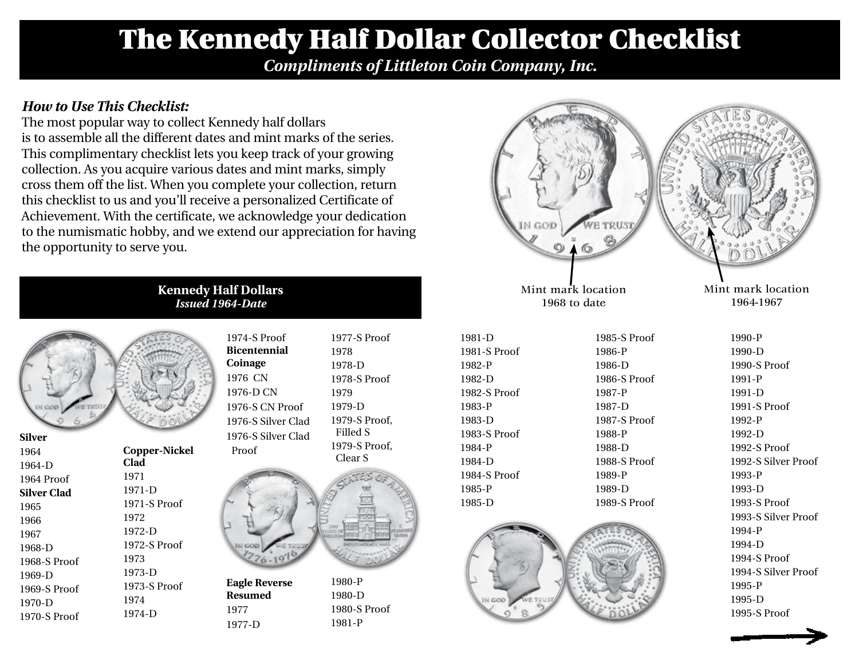## The Kennedy Half Dollar Collector Checklist

*Compliments of Littleton Coin Company, Inc.*

## *How to Use This Checklist:*

The most popular way to collect Kennedy half dollars is to assemble all the different dates and mint marks of the series. This complimentary checklist lets you keep track of your growing collection. As you acquire various dates and mint marks, simply cross them off the list. When you complete your collection, return this checklist to us and you'll receive a personalized Certificate of Achievement. With the certificate, we acknowledge your dedication to the numismatic hobby, and we extend our appreciation for having the opportunity to serve you.

> **Kennedy Half Dollars** *Issued 1964-Date*

| GOD<br><b>TO</b><br>泗 |  |
|-----------------------|--|

| эптег        |              |
|--------------|--------------|
| 1964         | Copper-Nick  |
| $1964 - D$   | Clad         |
| 1964 Proof   | 1971         |
| Silver Clad  | 1971-D       |
| 1965         | 1971-S Proof |
| 1966         | 1972         |
| 1967         | 1972-D       |
| 1968-D       | 1972-S Proof |
| 1968-S Proof | 1973         |
| 1969-D       | 1973-D       |
| 1969-S Proof | 1973-S Proof |
| 1970-D       | 1974         |
| 1970-S Proof | 1974-D       |
|              |              |

**Silver**

|              | 1974-S Proof<br><b>Bicentennial</b><br>Coinage<br>1976 CN<br>1976-D CN<br>1976-S CN Pro<br>1976-S Silver<br>1976-S Silver |
|--------------|---------------------------------------------------------------------------------------------------------------------------|
| opper-Nickel | Proof                                                                                                                     |
| lad<br>)71   |                                                                                                                           |
| )71-D        |                                                                                                                           |
| 971-S Proof  |                                                                                                                           |
| 172          |                                                                                                                           |
| )72-D        |                                                                                                                           |
| 172-S Proof  |                                                                                                                           |

**Eagle Reverse Resumed** 1977 1977-D

 $CN$  Proof Silver Clad Silver Clad 1977-S Proof 1978 1978-D 1978-S Proof 1979 1979-D 1979-S Proof, Filled S 1979-S Proof, Clear S



1980-P 1980-D 1980-S Proof 1981-P



1985-S Proof 1986-P 1986-D 1986-S Proof 1987-P 1987-D 1987-S Proof 1988-P 1988-D 1988-S Proof 1989-P 1989-D

Mint mark location 1968 to date

1981-D 1981-S Proof 1982-P 1982-D 1982-S Proof 1983-P 1983-D 1983-S Proof 1984-P 1984-D 1984-S Proof 1985-P



Mint mark location 1964-1967

> 1990-P 1990-D 1990-S Proof 1991-P 1991-D 1991-S Proof 1992-P 1992-D 1992-S Proof 1992-S Silver Proof 1993-P 1993-D 1993-S Proof 1993-S Silver Proof 1994-P 1994-D 1994-S Proof 1994-S Silver Proof 1995-P 1995-D 1995-S Proof